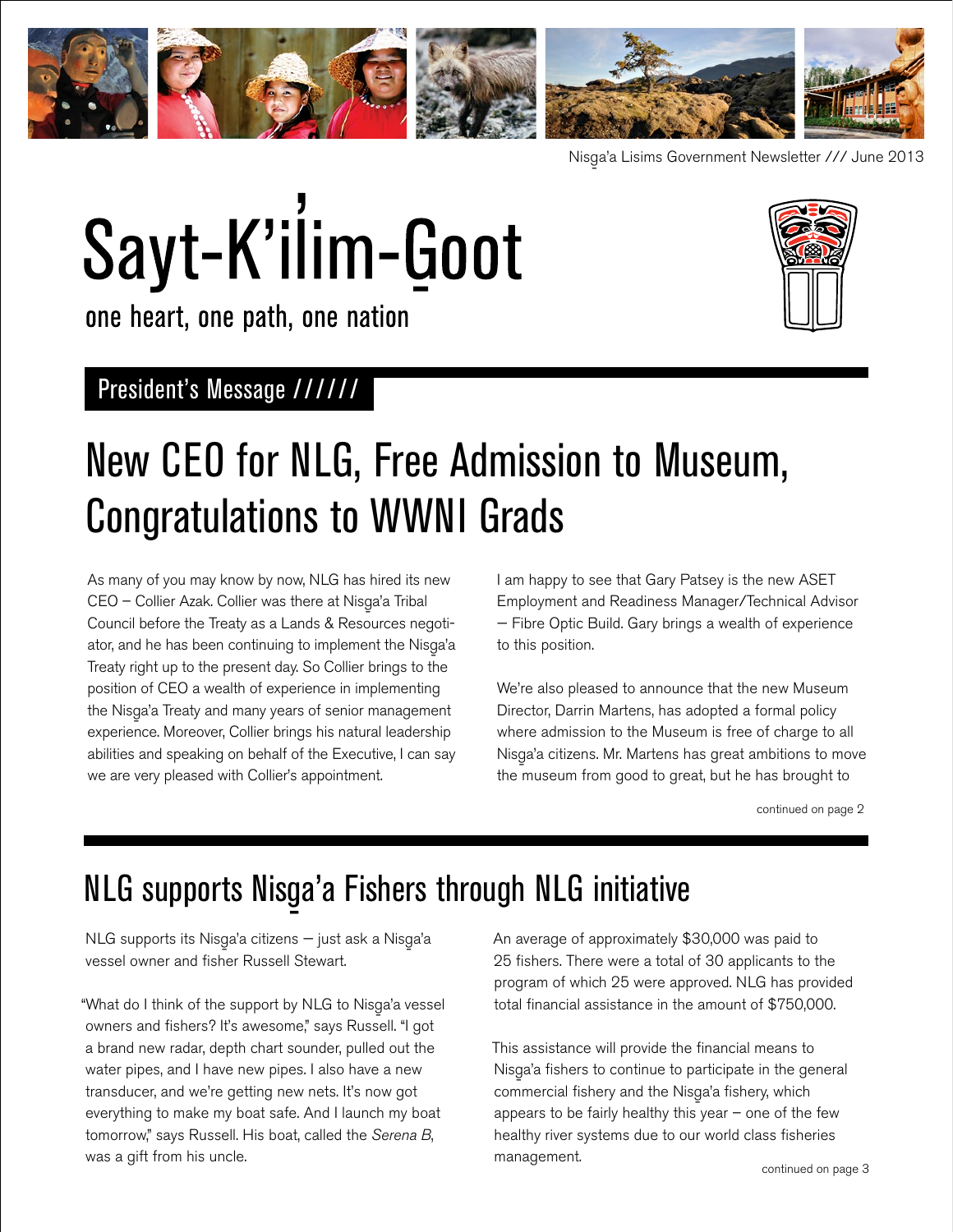

Nisg-a'a Lisims Government Newsletter /// June 2013

# Sayt-K'ilim-Goot



one heart, one path, one nation

### President's Message //////

### New CEO for NLG, Free Admission to Museum, Congratulations to WWNI Grads

As many of you may know by now, NLG has hired its new CEO – Collier Azak. Collier was there at Nisga'a Tribal<br>Canadial Line Martin Line of Paper Council before the Treaty as a Lands & Resources negotiator, and he has been continuing to implement the Nisga'a<br>T Treaty right up to the present day. So Collier brings to the position of CEO a wealth of experience in implementing the Nisga'a Treaty and many years of senior management experience. Moreover, Collier brings his natural leadership abilities and speaking on behalf of the Executive, I can say we are very pleased with Collier's appointment.

I am happy to see that Gary Patsey is the new ASET Employment and Readiness Manager/Technical Advisor — Fibre Optic Build. Gary brings a wealth of experience to this position.

We're also pleased to announce that the new Museum Director, Darrin Martens, has adopted a formal policy where admission to the Museum is free of charge to all Nisg-a'a citizens. Mr. Martens has great ambitions to move the museum from good to great, but he has brought to

continued on page 2

## NLG supports Nisga'a Fishers through NLG initiative

NLG supports its Nisga'a citizens — just ask a Nisga'a<br>——————————————————— vessel owner and fisher Russell Stewart.

"What do I think of the support by NLG to Nisga'a vessel<br>" owners and fishers? It's awesome," says Russell. "I got a brand new radar, depth chart sounder, pulled out the water pipes, and I have new pipes. I also have a new transducer, and we're getting new nets. It's now got everything to make my boat safe. And I launch my boat tomorrow," says Russell. His boat, called the *Serena B*, was a gift from his uncle.

An average of approximately \$30,000 was paid to 25 fishers. There were a total of 30 applicants to the program of which 25 were approved. NLG has provided total financial assistance in the amount of \$750,000.

This assistance will provide the financial means to Nisga'a fishers to continue to participate in the general<br>
and the state of the state of the state of the state of the state of the state of the state of the state of the state of the state of the state of the state of the commercial fishery and the Nisga'a fishery, which<br>Called All Library and History appears to be fairly healthy this year  $-$  one of the few healthy river systems due to our world class fisheries management.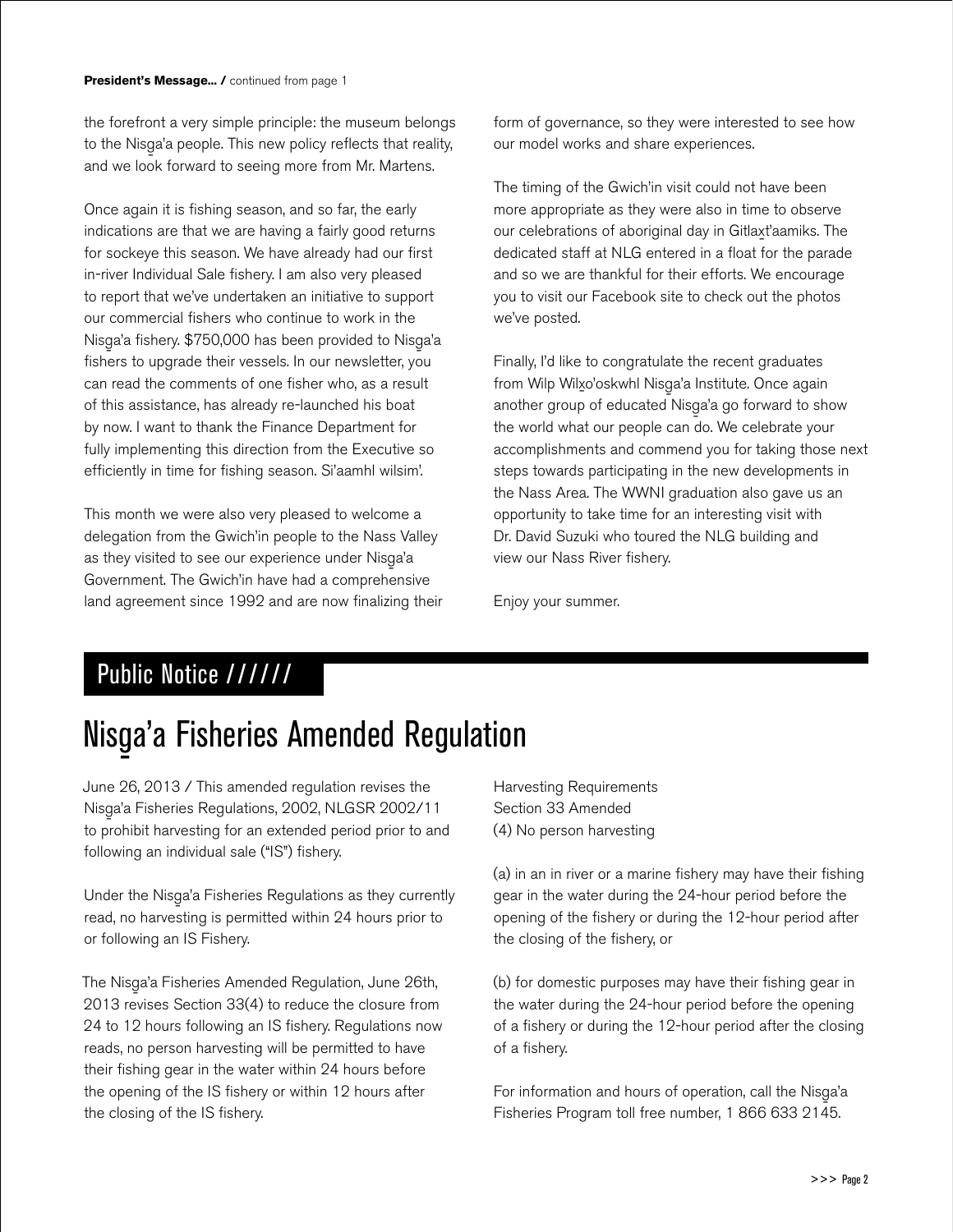the forefront a very simple principle: the museum belongs to the Nisga'a people. This new policy reflects that reality,<br>And Markinson and we look forward to seeing more from Mr. Martens.

Once again it is fishing season, and so far, the early indications are that we are having a fairly good returns for sockeye this season. We have already had our first in-river Individual Sale fishery. I am also very pleased to report that we've undertaken an initiative to support our commercial fishers who continue to work in the Nisga'a fishery. \$750,000 has been provided to Nisga'a<br>... fishers to upgrade their vessels. In our newsletter, you can read the comments of one fisher who, as a result of this assistance, has already re-launched his boat by now. I want to thank the Finance Department for fully implementing this direction from the Executive so efficiently in time for fishing season. Si'aamhl wilsim'.

This month we were also very pleased to welcome a delegation from the Gwich'in people to the Nass Valley as they visited to see our experience under Nisga'a<br>C Government. The Gwich'in have had a comprehensive land agreement since 1992 and are now finalizing their

form of governance, so they were interested to see how our model works and share experiences.

The timing of the Gwich'in visit could not have been more appropriate as they were also in time to observe our celebrations of aboriginal day in Gitlaxt'aamiks. The dedicated staff at NLG entered in a float for the parade and so we are thankful for their efforts. We encourage you to visit our Facebook site to check out the photos we've posted.

Finally, I'd like to congratulate the recent graduates from Wilp Wilx-o'oskwhl Nisg-a'a Institute. Once again another group of educated Nisga'a go forward to show<br>" the world what our people can do. We celebrate your accomplishments and commend you for taking those next steps towards participating in the new developments in the Nass Area. The WWNI graduation also gave us an opportunity to take time for an interesting visit with Dr. David Suzuki who toured the NLG building and view our Nass River fishery.

Enjoy your summer.

### Public Notice //////

## Nisga'a Fisheries Amended Regulation

June 26, 2013 / This amended regulation revises the Nisg-a'a Fisheries Regulations, 2002, NLGSR 2002/11 to prohibit harvesting for an extended period prior to and following an individual sale ("IS") fishery.

Under the Nisga'a Fisheries Regulations as they currently<br>
and the state of the state of the state of the state of the state of the state of the state of the state of t read, no harvesting is permitted within 24 hours prior to or following an IS Fishery.

The Nisga'a Fisheries Amended Regulation, June 26th, 2013 revises Section 33(4) to reduce the closure from 24 to 12 hours following an IS fishery. Regulations now reads, no person harvesting will be permitted to have their fishing gear in the water within 24 hours before the opening of the IS fishery or within 12 hours after the closing of the IS fishery.

Harvesting Requirements Section 33 Amended (4) No person harvesting

(a) in an in river or a marine fishery may have their fishing gear in the water during the 24-hour period before the opening of the fishery or during the 12-hour period after the closing of the fishery, or

(b) for domestic purposes may have their fishing gear in the water during the 24-hour period before the opening of a fishery or during the 12-hour period after the closing of a fishery.

For information and hours of operation, call the Nisga'a<br>Fig. 1, 1, 200,000,0145 Fisheries Program toll free number, 1 866 633 2145.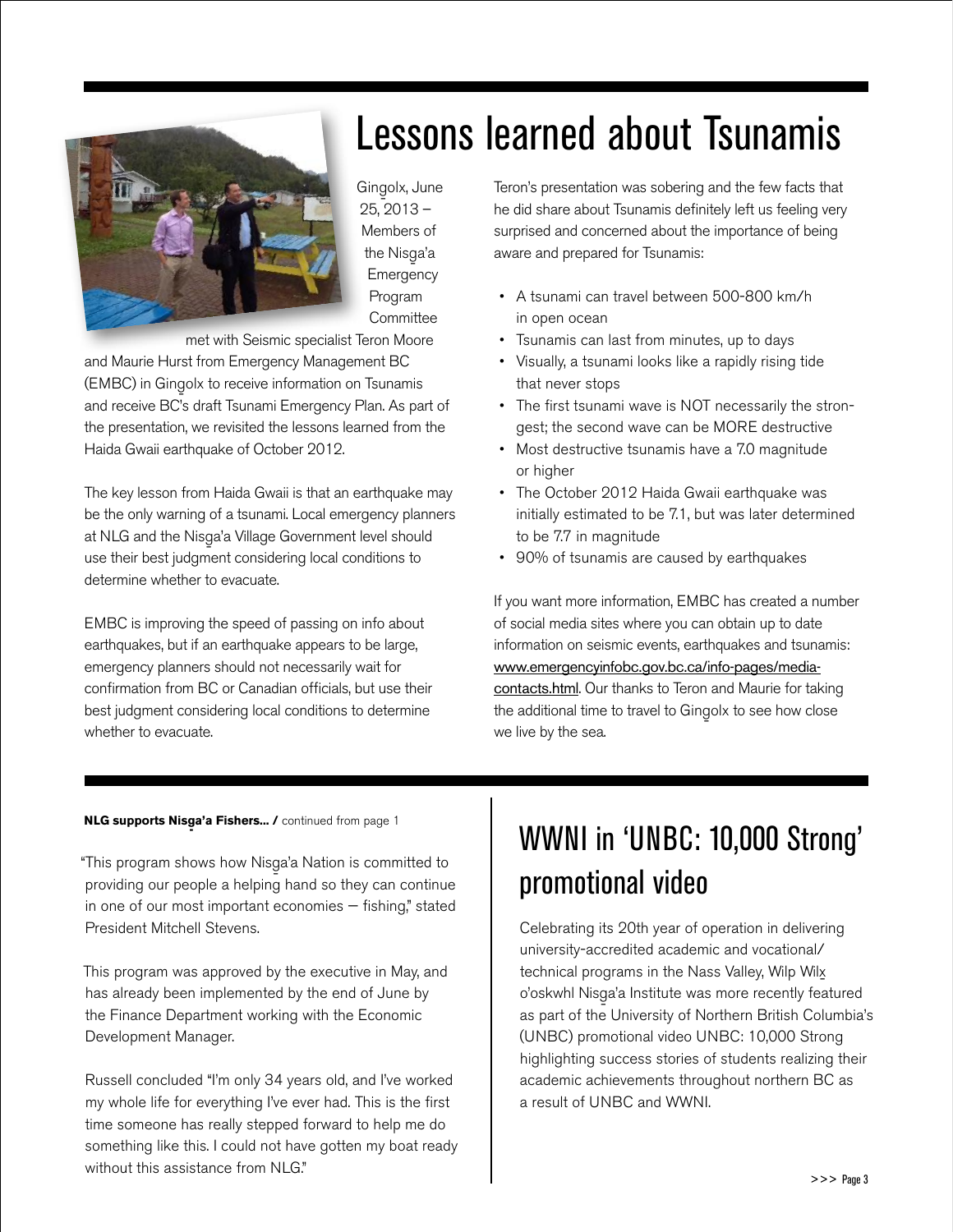

Gingolx, June 25, 2013 – Members of the Nisga'a<br>F Emergency Program **Committee** 

met with Seismic specialist Teron Moore

and Maurie Hurst from Emergency Management BC (EMBC) in Gingolx to receive information on Tsunamis<br>
olives and Colin Lines in Fermine and Clerk Annual Clerk Annual Clerk Annual Clerk Annual Clerk Annual Clerk and receive BC's draft Tsunami Emergency Plan. As part of the presentation, we revisited the lessons learned from the Haida Gwaii earthquake of October 2012.

The key lesson from Haida Gwaii is that an earthquake may be the only warning of a tsunami. Local emergency planners at NLG and the Nisg-a'a Village Government level should use their best judgment considering local conditions to determine whether to evacuate.

EMBC is improving the speed of passing on info about earthquakes, but if an earthquake appears to be large, emergency planners should not necessarily wait for confirmation from BC or Canadian officials, but use their best judgment considering local conditions to determine whether to evacuate.

## Teron's presentation was sobering and the few facts that

Lessons learned about Tsunamis

he did share about Tsunamis definitely left us feeling very surprised and concerned about the importance of being aware and prepared for Tsunamis:

- A tsunami can travel between 500-800 km/h in open ocean
- Tsunamis can last from minutes, up to days
- Visually, a tsunami looks like a rapidly rising tide that never stops
- The first tsunami wave is NOT necessarily the strongest; the second wave can be MORE destructive
- Most destructive tsunamis have a 7.0 magnitude or higher
- The October 2012 Haida Gwaii earthquake was initially estimated to be 7.1, but was later determined to be 7.7 in magnitude
- 90% of tsunamis are caused by earthquakes

If you want more information, EMBC has created a number of social media sites where you can obtain up to date information on seismic events, earthquakes and tsunamis: [www.emergencyinfobc.gov.bc.ca/info-pages/media](www.emergencyinfobc.gov.bc.ca/info-pages/media-contacts.html)[contacts.html](www.emergencyinfobc.gov.bc.ca/info-pages/media-contacts.html). Our thanks to Teron and Maurie for taking the additional time to travel to Gingolx to see how close we live by the sea.

### **NLG supports Nisga'a Fishers... /** continued from page 1

"This program shows how Nisga'a Nation is committed to<br>" providing our people a helping hand so they can continue in one of our most important economies — fishing," stated President Mitchell Stevens.

This program was approved by the executive in May, and has already been implemented by the end of June by the Finance Department working with the Economic Development Manager.

Russell concluded "I'm only 34 years old, and I've worked my whole life for everything I've ever had. This is the first time someone has really stepped forward to help me do something like this. I could not have gotten my boat ready without this assistance from NLG"

### WWNI in 'UNBC: 10,000 Strong' promotional video

Celebrating its 20th year of operation in delivering university-accredited academic and vocational/ technical programs in the Nass Valley, Wilp Wil<u>x</u><br>- o'oskwhl Nisga'a Institute was more recently featured<br>- a Alama Daily of Alama Daily of Alama Daily of Alama Daily as part of the University of Northern British Columbia's (UNBC) promotional video UNBC: 10,000 Strong highlighting success stories of students realizing their academic achievements throughout northern BC as a result of UNBC and WWNI.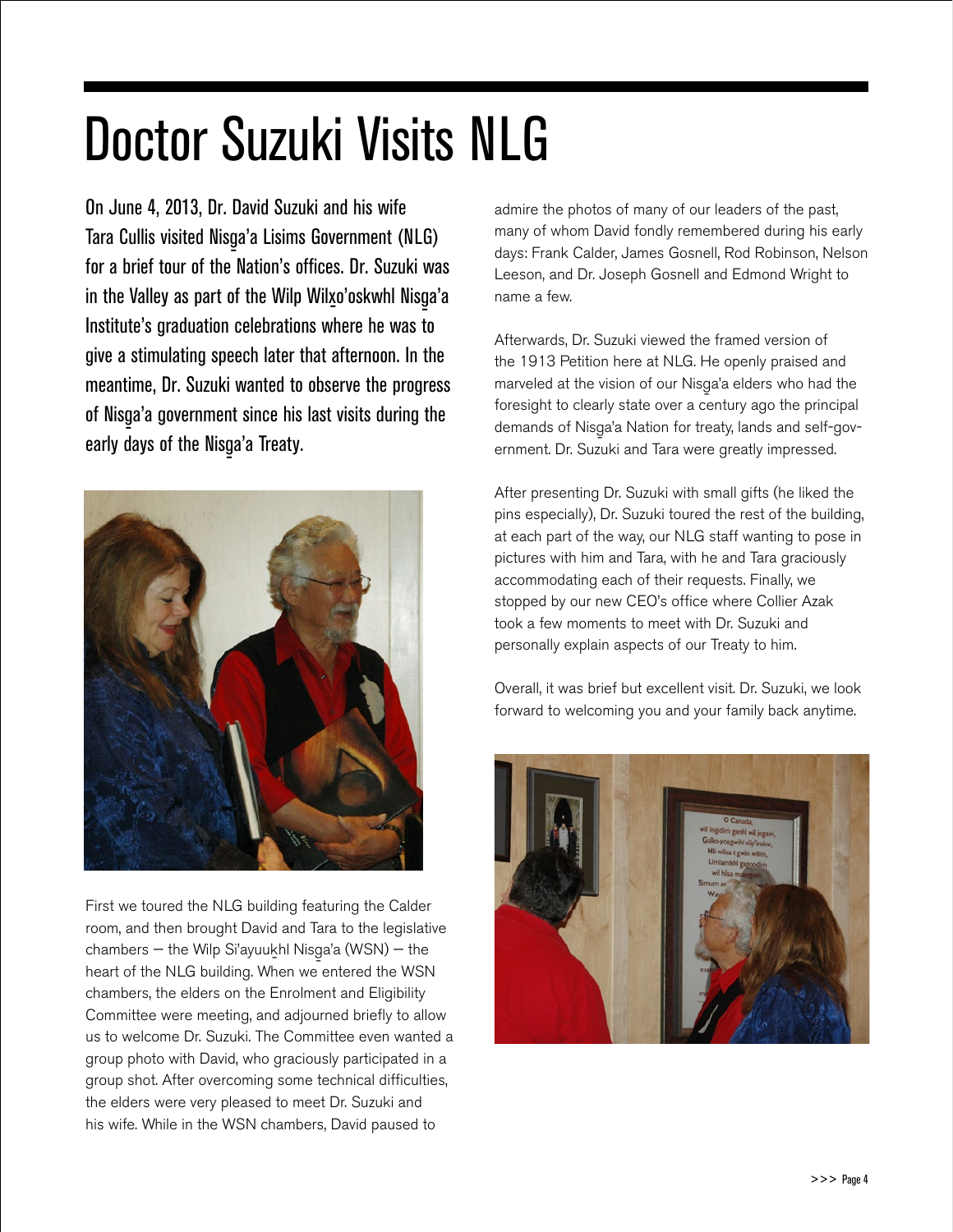## Doctor Suzuki Visits NLG

On June 4, 2013, Dr. David Suzuki and his wife Tara Cullis visited Nisga'a Lisims Government (NLG)<br>Canadia City of the National City December 1: for a brief tour of the Nation's offices. Dr. Suzuki was in the Valley as part of the Wilp Wilxo'oskwhl Nisga'a<br>. Institute's graduation celebrations where he was to give a stimulating speech later that afternoon. In the meantime, Dr. Suzuki wanted to observe the progress of Nisga'a government since his last visits during the  $\frac{1}{2}$ early days of the Nisga'a Treaty.<br>'



First we toured the NLG building featuring the Calder room, and then brought David and Tara to the legislative chambers — the Wilp Si'ayuukhl Nisga'a (WSN) — the<br>https://www.alashi.htm heart of the NLG building. When we entered the WSN chambers, the elders on the Enrolment and Eligibility Committee were meeting, and adjourned briefly to allow us to welcome Dr. Suzuki. The Committee even wanted a group photo with David, who graciously participated in a group shot. After overcoming some technical difficulties, the elders were very pleased to meet Dr. Suzuki and his wife. While in the WSN chambers, David paused to

admire the photos of many of our leaders of the past, many of whom David fondly remembered during his early days: Frank Calder, James Gosnell, Rod Robinson, Nelson Leeson, and Dr. Joseph Gosnell and Edmond Wright to name a few.

Afterwards, Dr. Suzuki viewed the framed version of the 1913 Petition here at NLG. He openly praised and marveled at the vision of our Nisga'a elders who had the<br>Annual the character who had the character who had the foresight to clearly state over a century ago the principal demands of Nisga'a Nation for treaty, lands and self-government. Dr. Suzuki and Tara were greatly impressed.

After presenting Dr. Suzuki with small gifts (he liked the pins especially), Dr. Suzuki toured the rest of the building, at each part of the way, our NLG staff wanting to pose in pictures with him and Tara, with he and Tara graciously accommodating each of their requests. Finally, we stopped by our new CEO's office where Collier Azak took a few moments to meet with Dr. Suzuki and personally explain aspects of our Treaty to him.

Overall, it was brief but excellent visit. Dr. Suzuki, we look forward to welcoming you and your family back anytime.

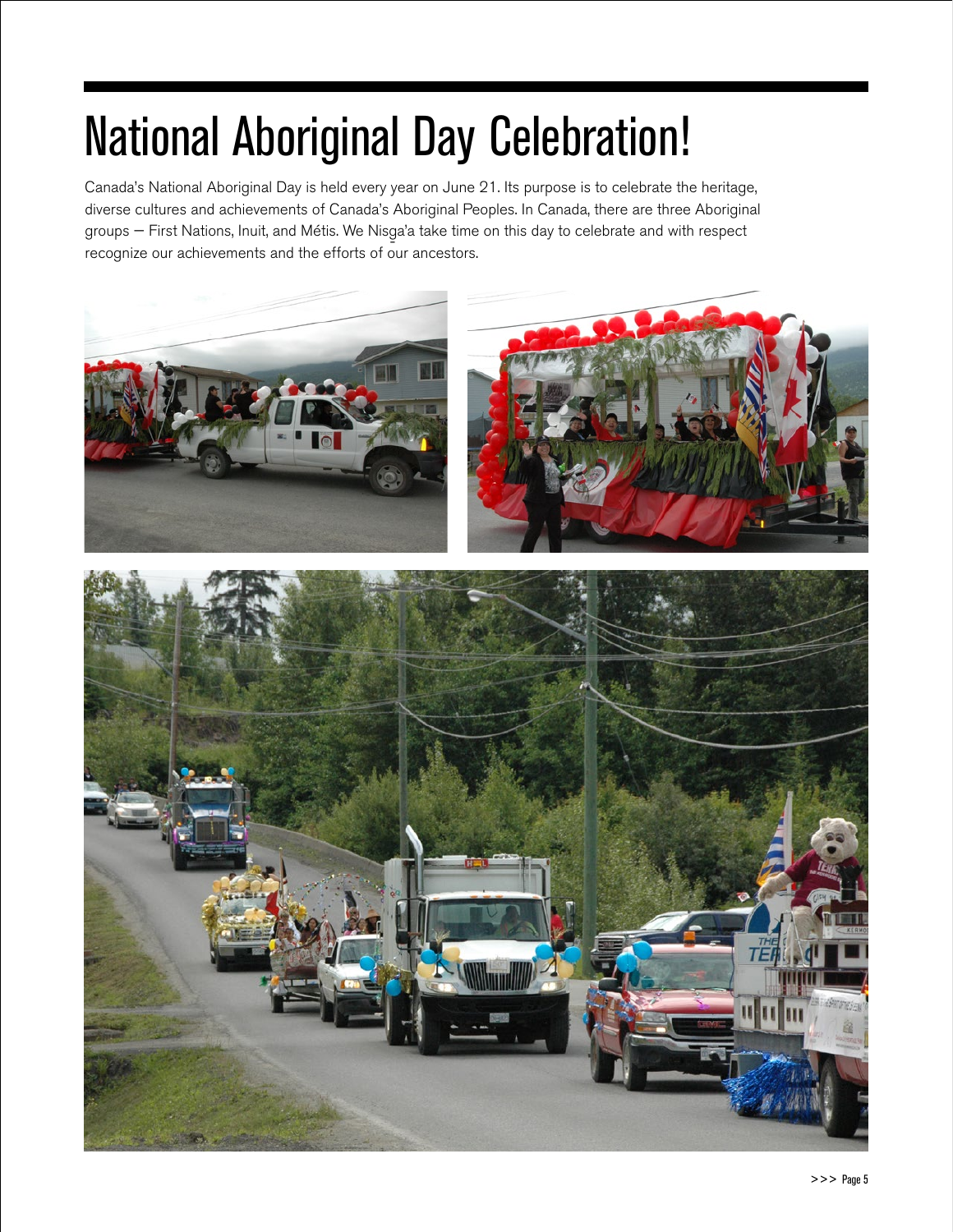## National Aboriginal Day Celebration!

Canada's National Aboriginal Day is held every year on June 21. Its purpose is to celebrate the heritage, diverse cultures and achievements of Canada's Aboriginal Peoples. In Canada, there are three Aboriginal groups — First Nations, Inuit, and Métis. We Nisg-a'a take time on this day to celebrate and with respect recognize our achievements and the efforts of our ancestors.

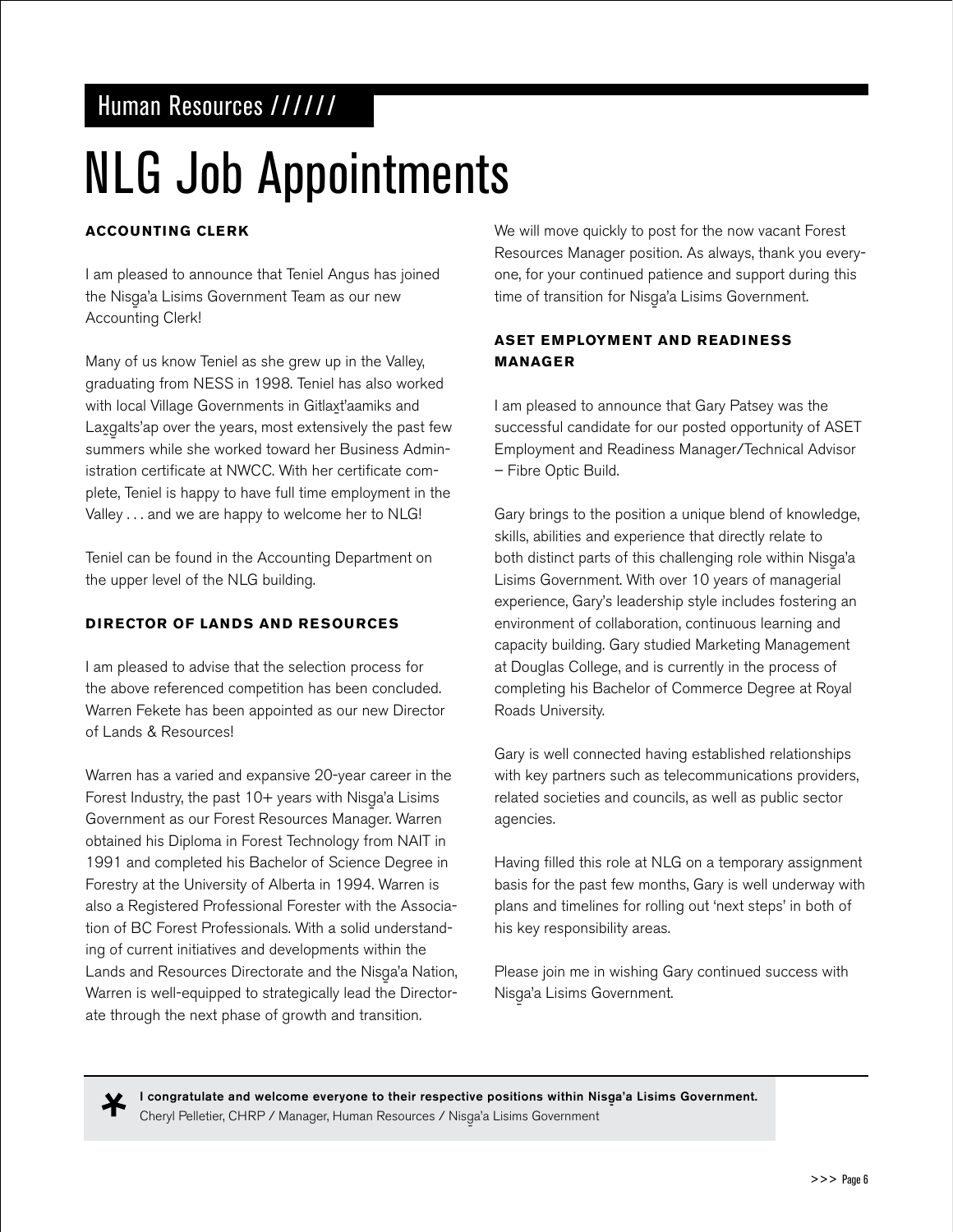### Human Resources //////

## NLG Job Appointments

### **Accounting Clerk**

I am pleased to announce that Teniel Angus has joined the Nisga'a Lisims Government Team as our new<br>A Accounting Clerk!

Many of us know Teniel as she grew up in the Valley, graduating from NESS in 1998. Teniel has also worked with local Village Governments in Gitlaxt'aamiks and Lax॒galts'ap over the years, most extensively the past few - summers while she worked toward her Business Administration certificate at NWCC. With her certificate complete, Teniel is happy to have full time employment in the Valley . . . and we are happy to welcome her to NLG!

Teniel can be found in the Accounting Department on the upper level of the NLG building.

### **Director of Lands and Resources**

I am pleased to advise that the selection process for the above referenced competition has been concluded. Warren Fekete has been appointed as our new Director of Lands & Resources!

Warren has a varied and expansive 20-year career in the Forest Industry, the past 10+ years with Nisga'a Lisims<br>C Government as our Forest Resources Manager. Warren obtained his Diploma in Forest Technology from NAIT in 1991 and completed his Bachelor of Science Degree in Forestry at the University of Alberta in 1994. Warren is also a Registered Professional Forester with the Association of BC Forest Professionals. With a solid understanding of current initiatives and developments within the Lands and Resources Directorate and the Nisga'a Nation,<br>W Warren is well-equipped to strategically lead the Directorate through the next phase of growth and transition.

We will move quickly to post for the now vacant Forest Resources Manager position. As always, thank you everyone, for your continued patience and support during this time of transition for Nisga'a Lisims Government.

### **ASET Employment and Readiness Manager**

I am pleased to announce that Gary Patsey was the successful candidate for our posted opportunity of ASET Employment and Readiness Manager/Technical Advisor – Fibre Optic Build.

Gary brings to the position a unique blend of knowledge, skills, abilities and experience that directly relate to both distinct parts of this challenging role within Nisga'a<br>' Lisims Government. With over 10 years of managerial experience, Gary's leadership style includes fostering an environment of collaboration, continuous learning and capacity building. Gary studied Marketing Management at Douglas College, and is currently in the process of completing his Bachelor of Commerce Degree at Royal Roads University.

Gary is well connected having established relationships with key partners such as telecommunications providers, related societies and councils, as well as public sector agencies.

Having filled this role at NLG on a temporary assignment basis for the past few months, Gary is well underway with plans and timelines for rolling out 'next steps' in both of his key responsibility areas.

Please join me in wishing Gary continued success with Nisga'a Lisims Government.<br>'

Ж

I congratulate and welcome everyone to their respective positions within Nisga'a Lisims Government.<br>. Cheryl Pelletier, CHRP / Manager, Human Resources / Nisga'a Lisims Government<br>.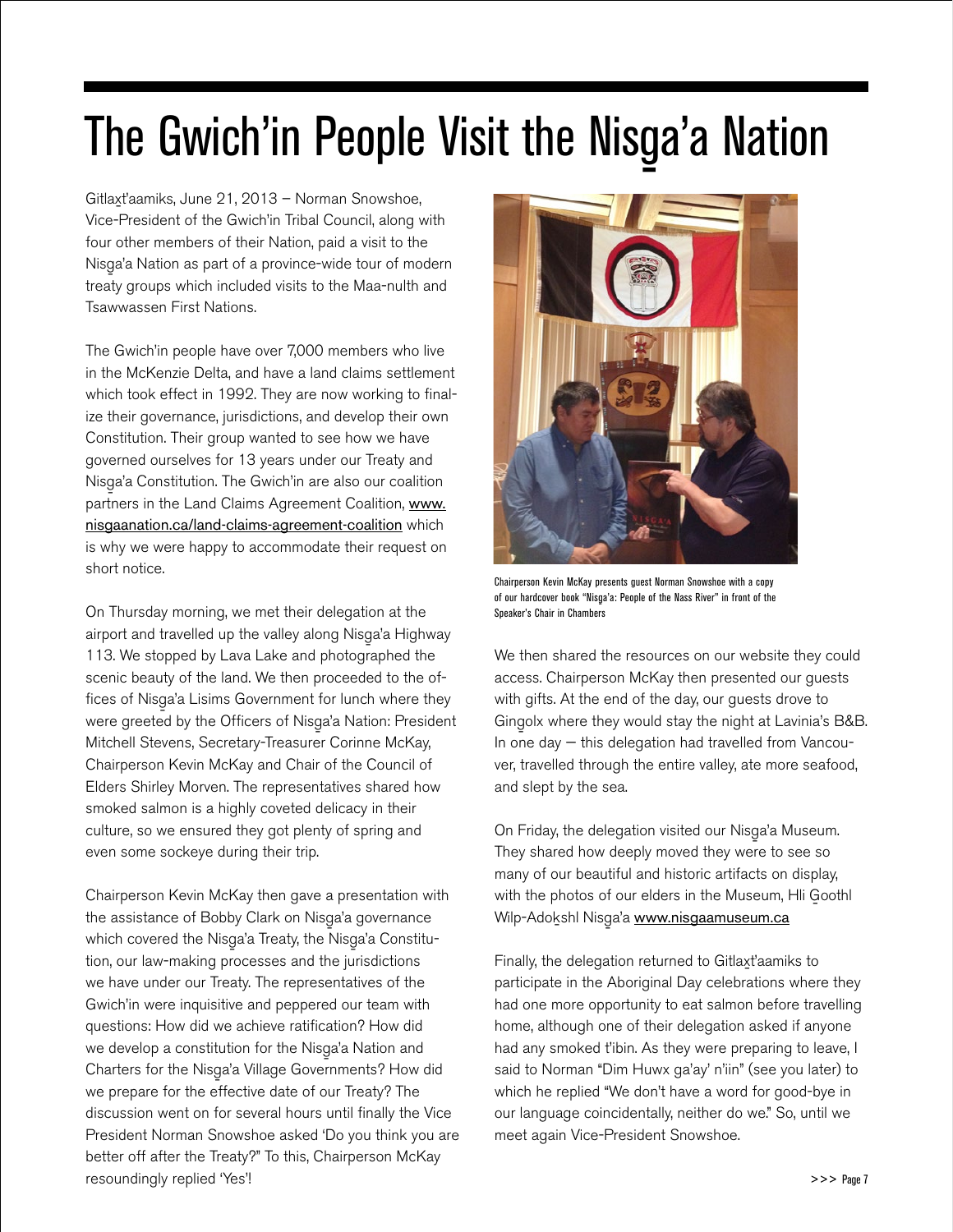## The Gwich'in People Visit the Nisga'a Nation

Gitlax-t'aamiks, June 21, 2013 – Norman Snowshoe, Vice-President of the Gwich'in Tribal Council, along with four other members of their Nation, paid a visit to the Nisg-a'a Nation as part of a province-wide tour of modern treaty groups which included visits to the Maa-nulth and Tsawwassen First Nations.

The Gwich'in people have over 7,000 members who live in the McKenzie Delta, and have a land claims settlement which took effect in 1992. They are now working to finalize their governance, jurisdictions, and develop their own Constitution. Their group wanted to see how we have governed ourselves for 13 years under our Treaty and Nisga'a Constitution. The Gwich'in are also our coalition partners in the Land Claims Agreement Coalition, [www.](www.nisgaanation.ca/land-claims-agreement-coalition) [nisgaanation.ca/land-claims-agreement-coalition](www.nisgaanation.ca/land-claims-agreement-coalition) which is why we were happy to accommodate their request on short notice.

On Thursday morning, we met their delegation at the airport and travelled up the valley along Nisga'a Highway<br>112. Wanda Marko Linda and the Linda Walle 113. We stopped by Lava Lake and photographed the scenic beauty of the land. We then proceeded to the offices of Nisg-a'a Lisims Government for lunch where they were greeted by the Officers of Nisga'a Nation: President Mitchell Stevens, Secretary-Treasurer Corinne McKay, Chairperson Kevin McKay and Chair of the Council of Elders Shirley Morven. The representatives shared how smoked salmon is a highly coveted delicacy in their culture, so we ensured they got plenty of spring and even some sockeye during their trip.

Chairperson Kevin McKay then gave a presentation with the assistance of Bobby Clark on Nisga'a governance<br> which covered the Nisga'a Treaty, the Nisga'a Constitu-<br>' tion, our law-making processes and the jurisdictions we have under our Treaty. The representatives of the Gwich'in were inquisitive and peppered our team with questions: How did we achieve ratification? How did we develop a constitution for the Nisga'a Nation and<br>Quantum Alimeter Collection Charters for the Nisga'a Village Governments? How did we prepare for the effective date of our Treaty? The discussion went on for several hours until finally the Vice President Norman Snowshoe asked 'Do you think you are better off after the Treaty?" To this, Chairperson McKay resoundingly replied 'Yes'!



Chairperson Kevin McKay presents guest Norman Snowshoe with a copy of our hardcover book "Nisga'a: People of the Nass River" in front of the<br>-Speaker's Chair in Chambers

We then shared the resources on our website they could access. Chairperson McKay then presented our guests with gifts. At the end of the day, our guests drove to Gingolx where they would stay the night at Lavinia's B&B.<br>' In one day — this delegation had travelled from Vancouver, travelled through the entire valley, ate more seafood, and slept by the sea.

On Friday, the delegation visited our Nisga'a Museum.<br>T They shared how deeply moved they were to see so many of our beautiful and historic artifacts on display, with the photos of our elders in the Museum, Hli Goothl Wilp-Adokshl Nisga'a <u>www.ni<mark>sgaamuseum.ca</mark></u>

Finally, the delegation returned to Gitlaxt'aamiks to participate in the Aboriginal Day celebrations where they had one more opportunity to eat salmon before travelling home, although one of their delegation asked if anyone had any smoked t'ibin. As they were preparing to leave, I said to Norman "Dim Huwx ga'ay' n'iin" (see you later) to which he replied "We don't have a word for good-bye in our language coincidentally, neither do we." So, until we meet again Vice-President Snowshoe.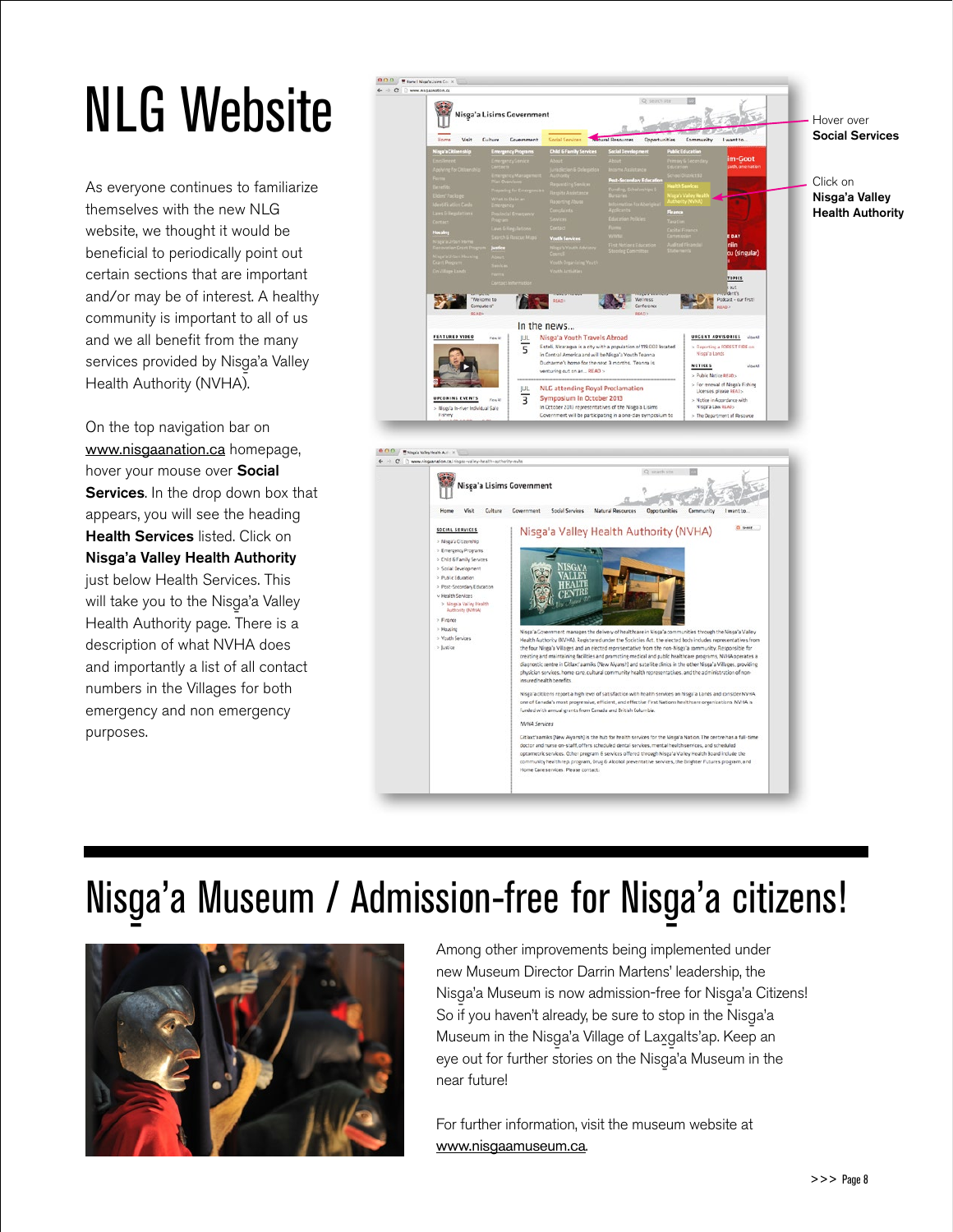## NLG Website

As everyone continues to familiarize themselves with the new NLG website, we thought it would be beneficial to periodically point out certain sections that are important and/or may be of interest. A healthy community is important to all of us and we all benefit from the many services provided by Nisga'a Valley<br>Lleville Arthroid (All'UAS Health Authority (NVHA).

On the top navigation bar on www.nisgaanation.ca homepage, hover your mouse over Social Services. In the drop down box that appears, you will see the heading Health Services listed. Click on Nisga'a Valley Health Authority just below Health Services. This will take you to the Nisga'a Valley<br>Llealle Arthonia Health Authority page. There is a description of what NVHA does and importantly a list of all contact numbers in the Villages for both emergency and non emergency purposes.



## Nisga'a Museum / Admission-free for Nisga'a citizens!



Among other improvements being implemented under new Museum Director Darrin Martens' leadership, the Nisga'a Museum is now admission-free for Nisga'a Citizens!<br>Carrier and all the children is a children in the children of the children is a children of the children of th So if you haven't already, be sure to stop in the Nisga'a<br>M Museum in the Nisga'a Village of Laxgalts'ap. Keep an<br>Alternative and the Microsoft March 19 massamments integral image of Europath approach.<br>
eye out for further stories on the Nisga'a Museum in the near future!

For further information, visit the museum website at www.nisgaamuseum.ca.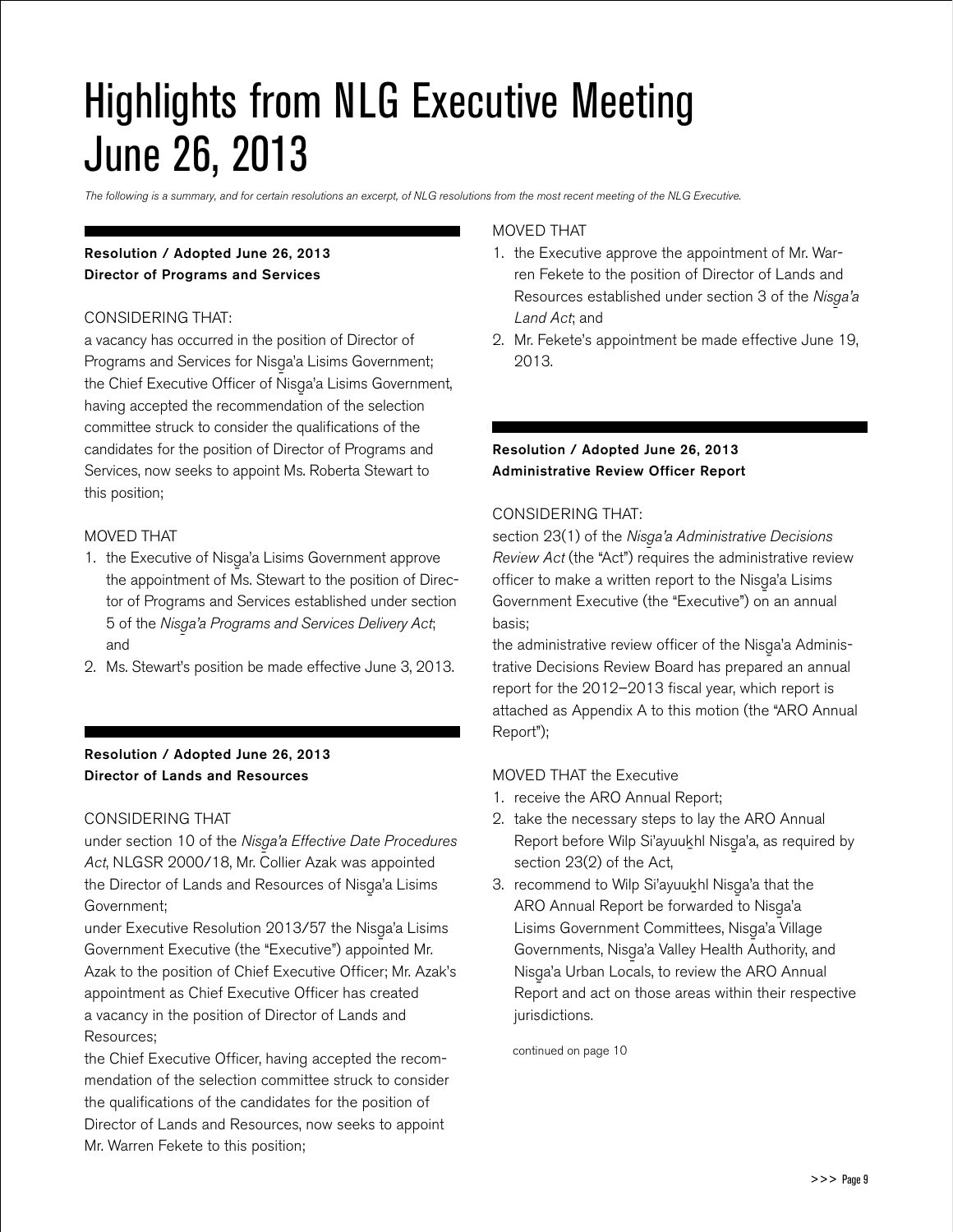### Highlights from NLG Executive Meeting June 26, 2013

*The following is a summary, and for certain resolutions an excerpt, of NLG resolutions from the most recent meeting of the NLG Executive.* 

### Resolution / Adopted June 26, 2013 Director of Programs and Services

### CONSIDERING THAT:

a vacancy has occurred in the position of Director of Programs and Services for Nisg-a'a Lisims Government; the Chief Executive Officer of Nisga'a Lisims Government,<br>' having accepted the recommendation of the selection committee struck to consider the qualifications of the candidates for the position of Director of Programs and Services, now seeks to appoint Ms. Roberta Stewart to this position;

### MOVED THAT

- 1. the Executive of Nisga'a Lisims Government approve the appointment of Ms. Stewart to the position of Director of Programs and Services established under section 5 of the *Nisg-a'a Programs and Services Delivery Act*; and
- 2. Ms. Stewart's position be made effective June 3, 2013.

### Resolution / Adopted June 26, 2013 Director of Lands and Resources

#### CONSIDERING THAT

under section 10 of the *Nisga'a Effective Date Procedures Act*, NLGSR 2000/18, Mr. Collier Azak was appointed the Director of Lands and Resources of Nisga'a Lisims<br>C Government;

under Executive Resolution 2013/57 the Nisga'a Lisims<br>C Government Executive (the "Executive") appointed Mr. Azak to the position of Chief Executive Officer; Mr. Azak's appointment as Chief Executive Officer has created a vacancy in the position of Director of Lands and Resources;

the Chief Executive Officer, having accepted the recommendation of the selection committee struck to consider the qualifications of the candidates for the position of Director of Lands and Resources, now seeks to appoint Mr. Warren Fekete to this position;

### MOVED THAT

- 1. the Executive approve the appointment of Mr. Warren Fekete to the position of Director of Lands and Resources established under section 3 of the *Nisga'a*<br>*' Land Act*; and
- 2. Mr. Fekete's appointment be made effective June 19, 2013.

### Resolution / Adopted June 26, 2013 Administrative Review Officer Report

### CONSIDERING THAT:

section 23(1) of the *Nisga'a Administrative Decisions*<br>
<u>Particulation</u> is a substitute of the set of the set of the set of the set of the set of the set of the set of the set of the set of the set of the set of the set o *Review Act* (the "Act") requires the administrative review officer to make a written report to the Nisga'a Lisims<br>C Government Executive (the "Executive") on an annual basis;

the administrative review officer of the Nisga'a Administrative Decisions Review Board has prepared an annual report for the 2012–2013 fiscal year, which report is attached as Appendix A to this motion (the "ARO Annual Report");

#### MOVED THAT the Executive

- 1. receive the ARO Annual Report;
- 2. take the necessary steps to lay the ARO Annual Report before Wilp Si'ayuukhl Nisga'a, as required by<br>https://www.https://www.https://www.https://www.https://www.https://www.https:// section 23(2) of the Act,
- 3. recommend to Wilp Si'ayuukhl Nisga'a that the ARO Annual Report be forwarded to Nisga'a<br>Lineaco Holland Lineal Nissensity Lisims Government Committees, Nisga'a Village<br>C Governments, Nisga'a Valley Health Authority, and<br>Alisan Lidda Nisga'a Urban Locals, to review the ARO Annual<br>D Report and act on those areas within their respective jurisdictions.

continued on page 10